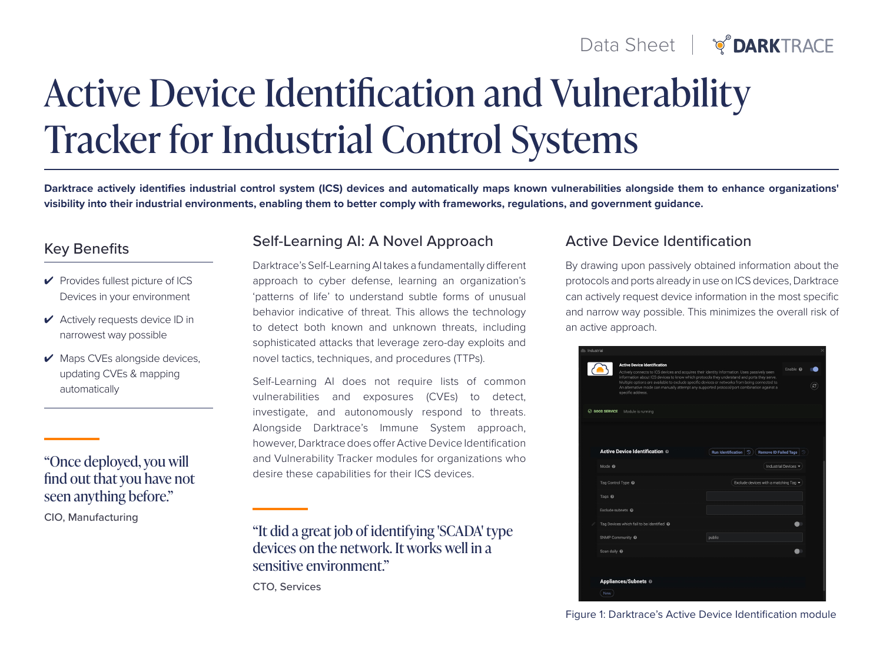# Data Sheet |  $\sqrt{\ }$ DARKTRACE

# Active Device Identification and Vulnerability Tracker for Industrial Control Systems

**Darktrace actively identifies industrial control system (ICS) devices and automatically maps known vulnerabilities alongside them to enhance organizations' visibility into their industrial environments, enabling them to better comply with frameworks, regulations, and government guidance.**

- ✔ Provides fullest picture of ICS Devices in your environment
- ✔ Actively requests device ID in narrowest way possible
- ✔ Maps CVEs alongside devices, updating CVEs & mapping automatically

### "Once deployed, you will find out that you have not seen anything before."

CIO, Manufacturing

# Key Benefits Self-Learning AI: A Novel Approach

Darktrace's Self-Learning AI takes a fundamentally different approach to cyber defense, learning an organization's 'patterns of life' to understand subtle forms of unusual behavior indicative of threat. This allows the technology to detect both known and unknown threats, including sophisticated attacks that leverage zero-day exploits and novel tactics, techniques, and procedures (TTPs).

Self-Learning AI does not require lists of common vulnerabilities and exposures (CVEs) to detect, investigate, and autonomously respond to threats. Alongside Darktrace's Immune System approach, however, Darktrace does offer Active Device Identification and Vulnerability Tracker modules for organizations who desire these capabilities for their ICS devices.

"It did a great job of identifying 'SCADA' type devices on the network. It works well in a sensitive environment."

CTO, Services

#### Active Device Identification

By drawing upon passively obtained information about the protocols and ports already in use on ICS devices, Darktrace can actively request device information in the most specific and narrow way possible. This minimizes the overall risk of an active approach.

| Industrial |                                                                                                                                                                                                                                                                                                                                                                                                                                                           |                                                                             |                      |  |
|------------|-----------------------------------------------------------------------------------------------------------------------------------------------------------------------------------------------------------------------------------------------------------------------------------------------------------------------------------------------------------------------------------------------------------------------------------------------------------|-----------------------------------------------------------------------------|----------------------|--|
|            | <b>Active Device Identification</b><br>Actively connects to ICS devices and acquires their identity information. Uses passively seen<br>information about ICS devices to know which protocols they understand and ports they serve.<br>Multiple options are available to exclude specific devices or networks from being connected to.<br>An alternative mode can manually attempt any supported protocol/port combination against a<br>specific address. |                                                                             | Enable <sup>®</sup>  |  |
|            | C GOOD SERVICE<br>Module is running                                                                                                                                                                                                                                                                                                                                                                                                                       |                                                                             |                      |  |
|            |                                                                                                                                                                                                                                                                                                                                                                                                                                                           |                                                                             |                      |  |
|            |                                                                                                                                                                                                                                                                                                                                                                                                                                                           |                                                                             |                      |  |
|            | <b>Active Device Identification @</b>                                                                                                                                                                                                                                                                                                                                                                                                                     | <b>Run Identification</b><br>$\mathfrak{D}$<br><b>Remove ID Failed Tags</b> | 10                   |  |
|            | Mode <sup>®</sup>                                                                                                                                                                                                                                                                                                                                                                                                                                         |                                                                             | Industrial Devices - |  |
|            | Tag Control Type @                                                                                                                                                                                                                                                                                                                                                                                                                                        | Exclude devices with a matching Tag $\blacktriangledown$                    |                      |  |
|            | Tags <sup>O</sup>                                                                                                                                                                                                                                                                                                                                                                                                                                         |                                                                             |                      |  |
|            | Exclude subnets @                                                                                                                                                                                                                                                                                                                                                                                                                                         |                                                                             |                      |  |
|            | Tag Devices which fail to be identified @                                                                                                                                                                                                                                                                                                                                                                                                                 |                                                                             |                      |  |
|            | SNMP Community @                                                                                                                                                                                                                                                                                                                                                                                                                                          | public                                                                      |                      |  |
|            | Scan daily @                                                                                                                                                                                                                                                                                                                                                                                                                                              |                                                                             |                      |  |
|            |                                                                                                                                                                                                                                                                                                                                                                                                                                                           |                                                                             |                      |  |
|            | Appliances/Subnets @                                                                                                                                                                                                                                                                                                                                                                                                                                      |                                                                             |                      |  |
|            | New                                                                                                                                                                                                                                                                                                                                                                                                                                                       |                                                                             |                      |  |

Figure 1: Darktrace's Active Device Identification module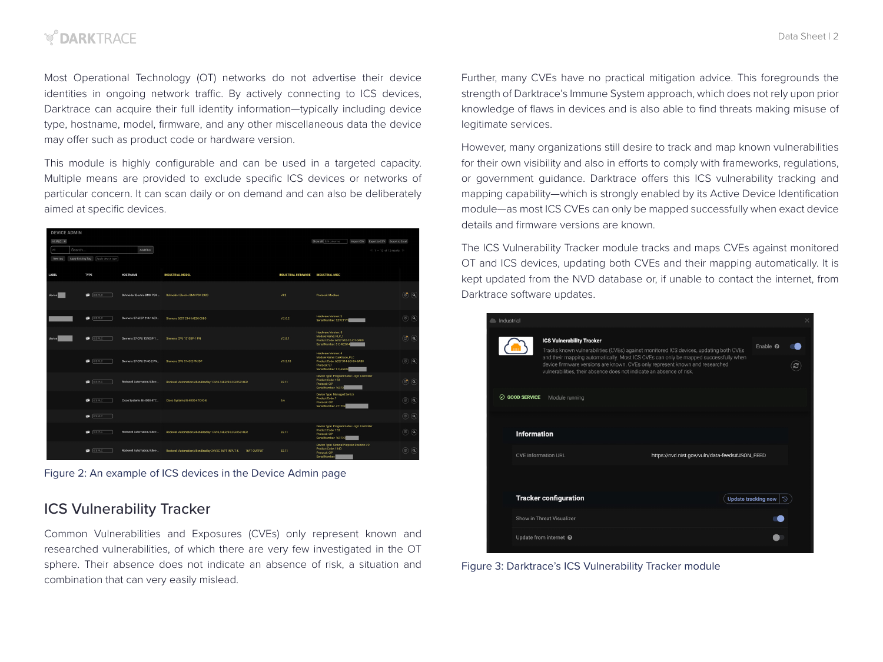## *V DARKTRACF*

Most Operational Technology (OT) networks do not advertise their device identities in ongoing network traffic. By actively connecting to ICS devices, Darktrace can acquire their full identity information—typically including device type, hostname, model, firmware, and any other miscellaneous data the device may offer such as product code or hardware version.

This module is highly configurable and can be used in a targeted capacity. Multiple means are provided to exclude specific ICS devices or networks of particular concern. It can scan daily or on demand and can also be deliberately aimed at specific devices.

| <b>DEVICE ADMIN</b> |                                         |                            |                                                                     |                            |                                                                                                                                     |                                |
|---------------------|-----------------------------------------|----------------------------|---------------------------------------------------------------------|----------------------------|-------------------------------------------------------------------------------------------------------------------------------------|--------------------------------|
| ALPLC X             |                                         |                            |                                                                     |                            | Show all Edit columns<br>Import CSV Export to CSV Export to Excel                                                                   |                                |
| 3.33                | Search                                  | Add filter                 |                                                                     |                            | $= 1 - 12$ of 12 results $\Rightarrow$                                                                                              |                                |
| New tag             | Apply Existing Tag<br>Apply device type |                            |                                                                     |                            |                                                                                                                                     |                                |
|                     |                                         |                            |                                                                     |                            |                                                                                                                                     |                                |
| LABEL               | TYPE                                    | HOSTNAME                   | <b>INDUSTRIAL MODEL</b>                                             | <b>INDUSTRIAL FIRMWARE</b> | <b>INDUSTRIAL MISC</b>                                                                                                              |                                |
| device              | <b>CERC</b>                             | Schneider Electric BMX P34 | Schneider Electric BMX P34 2020                                     | 32                         | Protocol: Modbus                                                                                                                    | $\circledR$                    |
|                     | <b>CEREC</b>                            | Siemens S7 6ES7 214-1AE3   | Siemens 6ES7 214-1AE30-0XB0                                         | V.2.0.2                    | Hardware Version: 2<br>Serial Number: SZVC1YY                                                                                       | $\circledcirc$ $\circledcirc$  |
| device              | ٠<br><b>ICS PLC</b>                     | Siemens S7 CPU 1510SP-1    | Siemens CPU 1510SP-1 PN                                             | V.2.8.1                    | <b>Hardware Version: 5</b><br>Module Name: PLC.1<br>Product Code: 6ES7 510-1DJ01-0AB0<br>Serial Number: S C-M2G14                   | $\sqrt{a}$<br>$\mathbf{r}$     |
|                     | <b>CEREC</b>                            | Siemens S7 CPU 314C-2 PN   | Siemens CPU 314C-2 PN/DP                                            | V.3.3.10                   | Hardware Version: 4<br>Module Name: Darktrace. PLC<br>Product Code: 6ES7 314-6EH04-0AB0<br>Protocol: S7<br>Serial Number: S Q-E5U06 | $\circledcirc$ $\circledcirc$  |
|                     | <b>ICS PLC</b><br>٠                     | Rockwell Automation/Allen- | Rockwell Automation/Allen-Bradley 1769-L16ER/B LCGIX5316ER          | 32.11                      | Device Type: Programmable Logic Controller<br>Product Code: 153<br>Protocol: CIP<br>Serial Number: 16272                            | $\circledcirc$ (a)             |
|                     | <b>ICS PLC</b><br>G                     | Cisco Systems IE-4000-4TC  | Cisco Systems IE-4000-4TC4G-E                                       | 5.6                        | Device Type: Managed Switch<br>Product Code: 1<br>Protocol: CIP<br>Serial Number: 471739                                            | $\circledcirc$ $\circledcirc$  |
|                     | CSPLC                                   |                            |                                                                     |                            |                                                                                                                                     | $\sqrt{a}$<br>$(\circledcirc)$ |
|                     | <b>CSPLC</b>                            | Rockwell Automation/Allen- | Rockwell Automation/Allen-Bradley 1769-L16ER/B LCGIX5316ER          | 32.11                      | Device Type: Programmable Logic Controller<br>Product Code: 153<br>Protocol: CIP<br>Serial Number: 162720                           | $\circledcirc$                 |
|                     | <b>ICSPLC</b><br>œ                      | Rockwell Automation/Allen- | Rockwell Automation/Allen-Bradley 24VDC 16PT INPUT &<br>16PT OUTPUT | 32.11                      | Device Type: General Purpose Discrete I/O<br>Product Code: 1140<br>Protocol: CIP<br>Serial Number                                   | $\circledcirc$ $\circledcirc$  |

Figure 2: An example of ICS devices in the Device Admin page

### ICS Vulnerability Tracker

Common Vulnerabilities and Exposures (CVEs) only represent known and researched vulnerabilities, of which there are very few investigated in the OT sphere. Their absence does not indicate an absence of risk, a situation and combination that can very easily mislead.

Further, many CVEs have no practical mitigation advice. This foregrounds the strength of Darktrace's Immune System approach, which does not rely upon prior knowledge of flaws in devices and is also able to find threats making misuse of legitimate services.

However, many organizations still desire to track and map known vulnerabilities for their own visibility and also in efforts to comply with frameworks, regulations, or government guidance. Darktrace offers this ICS vulnerability tracking and mapping capability—which is strongly enabled by its Active Device Identification module—as most ICS CVEs can only be mapped successfully when exact device details and firmware versions are known.

The ICS Vulnerability Tracker module tracks and maps CVEs against monitored OT and ICS devices, updating both CVEs and their mapping automatically. It is kept updated from the NVD database or, if unable to contact the internet, from Darktrace software updates.

| <b>Industrial</b>     |                                                                                                                                                                                                                                                                                                                                                                          |  |                            |                              | $\times$ |
|-----------------------|--------------------------------------------------------------------------------------------------------------------------------------------------------------------------------------------------------------------------------------------------------------------------------------------------------------------------------------------------------------------------|--|----------------------------|------------------------------|----------|
|                       | <b>ICS Vulnerability Tracker</b><br>Tracks known vulnerabilities (CVEs) against monitored ICS devices, updating both CVEs<br>and their mapping automatically. Most ICS CVEs can only be mapped successfully when<br>device firmware versions are known. CVEs only represent known and researched<br>vulnerabilities, their absence does not indicate an absence of risk. |  |                            | Enable $\boldsymbol{\Omega}$ |          |
| <b>⊘ GOOD SERVICE</b> | Module running                                                                                                                                                                                                                                                                                                                                                           |  |                            |                              |          |
|                       | <b>Information</b><br><b>CVE</b> information URL<br>https://nvd.nist.gov/vuln/data-feeds#JSON_FEED                                                                                                                                                                                                                                                                       |  |                            |                              |          |
|                       |                                                                                                                                                                                                                                                                                                                                                                          |  |                            |                              |          |
|                       |                                                                                                                                                                                                                                                                                                                                                                          |  |                            |                              |          |
|                       | <b>Tracker configuration</b>                                                                                                                                                                                                                                                                                                                                             |  | <b>Update tracking now</b> | D                            |          |
|                       | Show in Threat Visualizer                                                                                                                                                                                                                                                                                                                                                |  |                            |                              |          |
|                       | Update from internet @                                                                                                                                                                                                                                                                                                                                                   |  |                            |                              |          |

Figure 3: Darktrace's ICS Vulnerability Tracker module